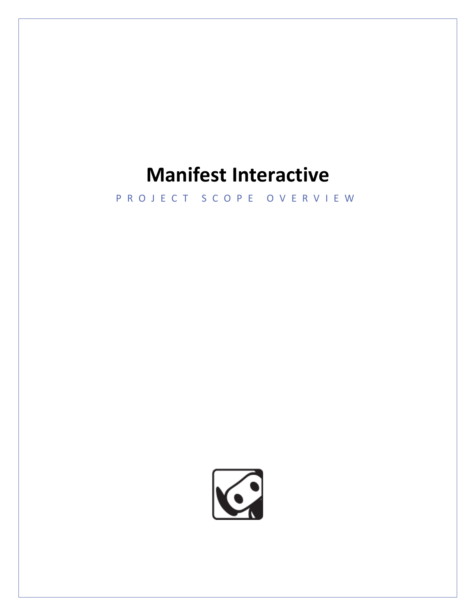### **Manifest Interactive**

P R O J E C T S C O P E O V E R V I E W

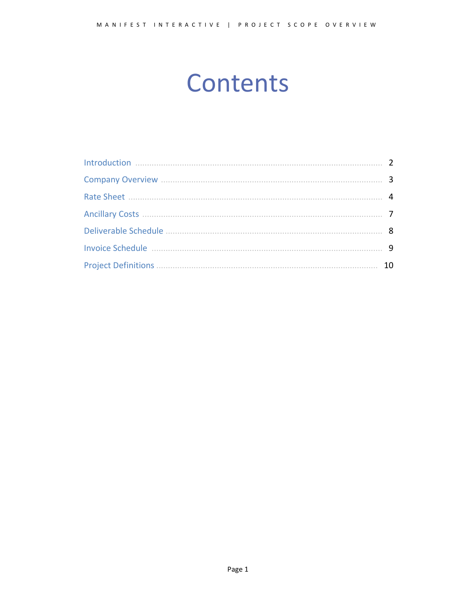# **Contents**

| 8  |
|----|
| q  |
| 10 |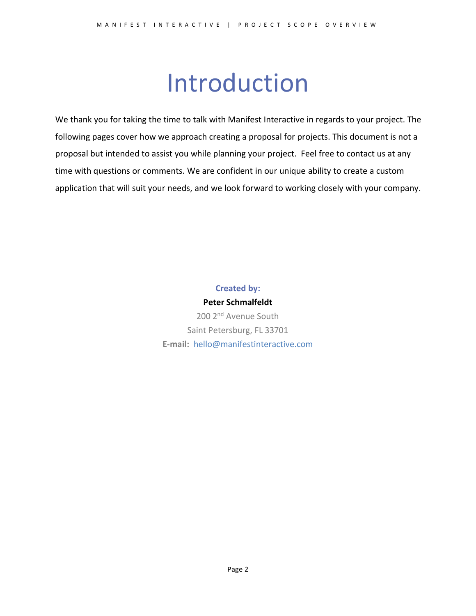# Introduction

<span id="page-2-0"></span>We thank you for taking the time to talk with Manifest Interactive in regards to your project. The following pages cover how we approach creating a proposal for projects. This document is not a proposal but intended to assist you while planning your project. Feel free to contact us at any time with questions or comments. We are confident in our unique ability to create a custom application that will suit your needs, and we look forward to working closely with your company.

#### **Created by:**

**Peter Schmalfeldt** 200 2<sup>nd</sup> Avenue South Saint Petersburg, FL 33701 **E-mail:** [hello@manifestinteractive.com](mailto:hello@manifestinteractive.com)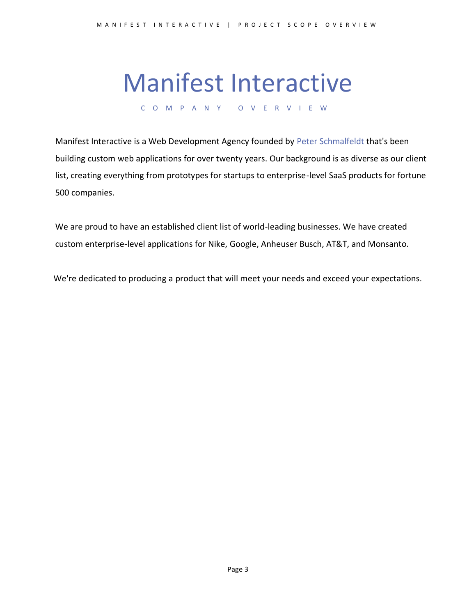### Manifest Interactive

C O M P A N Y O V E R V I E W

<span id="page-3-0"></span>Manifest Interactive is a Web Development Agency founded by [Peter Schmalfeldt](https://peterschmalfeldt.com/) that's been building custom web applications for over twenty years. Our background is as diverse as our client list, creating everything from prototypes for startups to enterprise-level SaaS products for fortune 500 companies.

We are proud to have an established client list of world-leading businesses. We have created custom enterprise-level applications for Nike, Google, Anheuser Busch, AT&T, and Monsanto.

We're dedicated to producing a product that will meet your needs and exceed your expectations.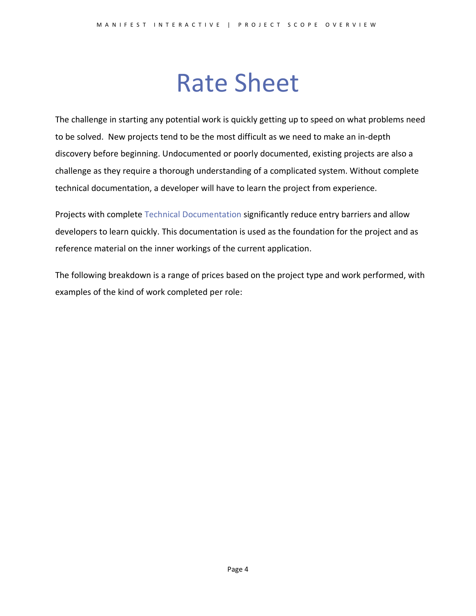### Rate Sheet

<span id="page-4-0"></span>The challenge in starting any potential work is quickly getting up to speed on what problems need to be solved. New projects tend to be the most difficult as we need to make an in-depth discovery before beginning. Undocumented or poorly documented, existing projects are also a challenge as they require a thorough understanding of a complicated system. Without complete technical documentation, a developer will have to learn the project from experience.

Projects with complete [Technical Documentation](http://en.wikipedia.org/wiki/Software_documentation#Technical_documentation) significantly reduce entry barriers and allow developers to learn quickly. This documentation is used as the foundation for the project and as reference material on the inner workings of the current application.

The following breakdown is a range of prices based on the project type and work performed, with examples of the kind of work completed per role: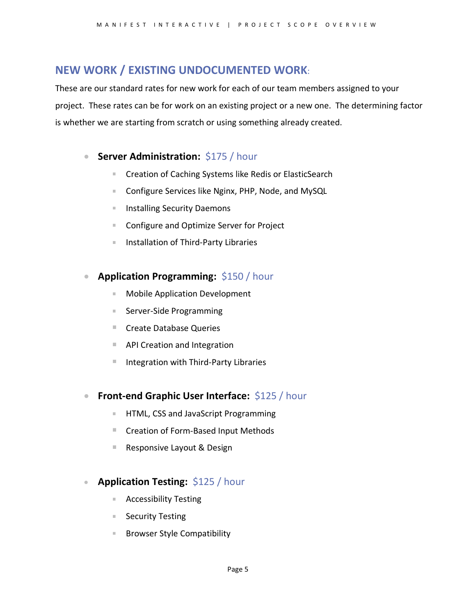#### **NEW WORK / EXISTING UNDOCUMENTED WORK**:

These are our standard rates for new work for each of our team members assigned to your project. These rates can be for work on an existing project or a new one. The determining factor is whether we are starting from scratch or using something already created.

#### **• Server Administration: \$175 / hour**

- a. Creation of Caching Systems like Redis or ElasticSearch
- $\mathbb{R}^{n\times n}$ Configure Services like Nginx, PHP, Node, and MySQL
- Installing Security Daemons m.
- Configure and Optimize Server for Project m.
- $\mathbf{H}^{\prime}$  . Installation of Third-Party Libraries

#### • **Application Programming:** \$150 / hour

- Mobile Application Development
- Server-Side Programming
- Create Database Queries
- API Creation and Integration
- Integration with Third-Party Libraries
- **Front-end Graphic User Interface: \$125 / hour** 
	- HTML, CSS and JavaScript Programming a.
	- Creation of Form-Based Input Methods
	- m. Responsive Layout & Design

#### • **Application Testing:** \$125 / hour

- Accessibility Testing
- Security Testing
- н. Browser Style Compatibility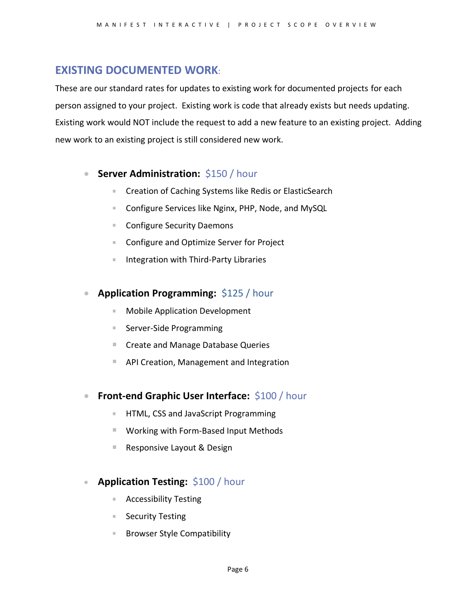#### **EXISTING DOCUMENTED WORK**:

These are our standard rates for updates to existing work for documented projects for each person assigned to your project. Existing work is code that already exists but needs updating. Existing work would NOT include the request to add a new feature to an existing project. Adding new work to an existing project is still considered new work.

#### **• Server Administration: \$150 / hour**

- $\mathbb{R}^{n\times n}$ Creation of Caching Systems like Redis or ElasticSearch
- Configure Services like Nginx, PHP, Node, and MySQL **College**
- Configure Security Daemons m.
- $\mathbb{R}^{n\times n}$ Configure and Optimize Server for Project
- Integration with Third-Party Libraries  $\mathbb{R}^{n\times n}$

#### • **Application Programming:** \$125 / hour

- Mobile Application Development **College**
- Server-Side Programming
- Create and Manage Database Queries
- API Creation, Management and Integration
- **Front-end Graphic User Interface:** \$100 / hour
	- HTML, CSS and JavaScript Programming a.
	- Working with Form-Based Input Methods
	- m. Responsive Layout & Design

#### • **Application Testing:** \$100 / hour

- Accessibility Testing
- Security Testing
- m. Browser Style Compatibility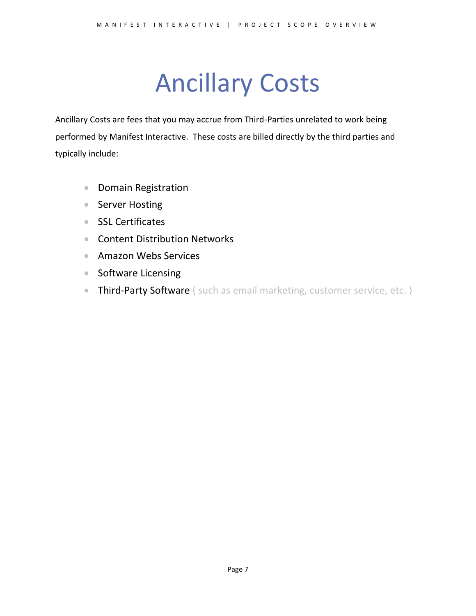# Ancillary Costs

<span id="page-7-0"></span>Ancillary Costs are fees that you may accrue from Third-Parties unrelated to work being performed by Manifest Interactive. These costs are billed directly by the third parties and typically include:

- Domain Registration
- Server Hosting
- SSL Certificates
- Content Distribution Networks
- Amazon Webs Services
- Software Licensing
- Third-Party Software ( such as email marketing, customer service, etc. )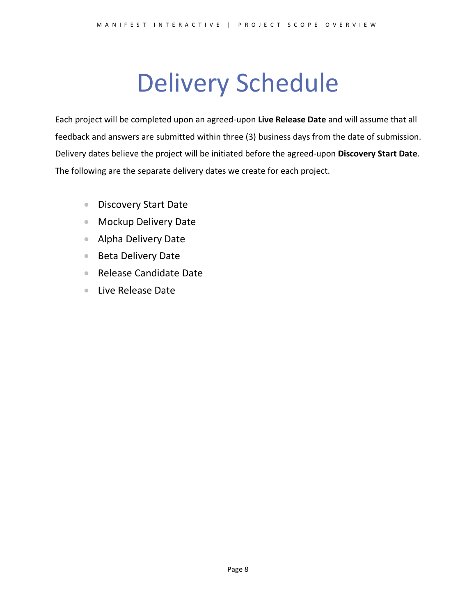# Delivery Schedule

<span id="page-8-0"></span>Each project will be completed upon an agreed-upon **Live Release Date** and will assume that all feedback and answers are submitted within three (3) business days from the date of submission. Delivery dates believe the project will be initiated before the agreed-upon **Discovery Start Date**. The following are the separate delivery dates we create for each project.

- Discovery Start Date
- Mockup Delivery Date
- Alpha Delivery Date
- Beta Delivery Date
- Release Candidate Date
- Live Release Date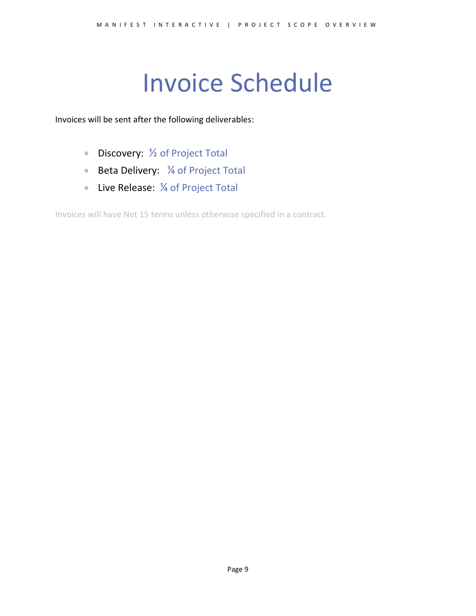# Invoice Schedule

<span id="page-9-0"></span>Invoices will be sent after the following deliverables:

- Discovery: 1/2 of Project Total
- Beta Delivery: 1/4 of Project Total
- Live Release: 1/4 of Project Total

Invoices will have Net 15 terms unless otherwise specified in a contract.